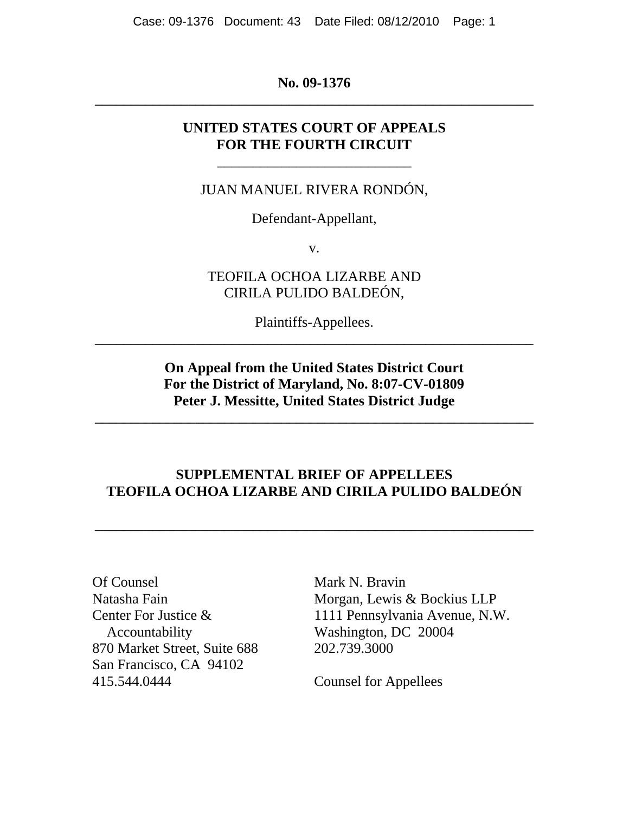**No. 09-1376 \_\_\_\_\_\_\_\_\_\_\_\_\_\_\_\_\_\_\_\_\_\_\_\_\_\_\_\_\_\_\_\_\_\_\_\_\_\_\_\_\_\_\_\_\_\_\_\_\_\_\_\_\_\_\_\_\_\_\_\_\_** 

# **UNITED STATES COURT OF APPEALS FOR THE FOURTH CIRCUIT**

\_\_\_\_\_\_\_\_\_\_\_\_\_\_\_\_\_\_\_\_\_\_\_\_\_\_\_

JUAN MANUEL RIVERA RONDÓN,

Defendant-Appellant,

v.

TEOFILA OCHOA LIZARBE AND CIRILA PULIDO BALDEÓN,

Plaintiffs-Appellees. *\_\_\_\_\_\_\_\_\_\_\_\_\_\_\_\_\_\_\_\_\_\_\_\_\_\_\_\_\_\_\_\_\_\_\_\_\_\_\_\_\_\_\_\_\_\_\_\_\_\_\_\_\_\_\_\_\_\_\_\_\_*

> **On Appeal from the United States District Court For the District of Maryland, No. 8:07-CV-01809 Peter J. Messitte, United States District Judge**

**\_\_\_\_\_\_\_\_\_\_\_\_\_\_\_\_\_\_\_\_\_\_\_\_\_\_\_\_\_\_\_\_\_\_\_\_\_\_\_\_\_\_\_\_\_\_\_\_\_\_\_\_\_\_\_\_\_\_\_\_\_** 

# **SUPPLEMENTAL BRIEF OF APPELLEES TEOFILA OCHOA LIZARBE AND CIRILA PULIDO BALDEÓN**

\_\_\_\_\_\_\_\_\_\_\_\_\_\_\_\_\_\_\_\_\_\_\_\_\_\_\_\_\_\_\_\_\_\_\_\_\_\_\_\_\_\_\_\_\_\_\_\_\_\_\_\_\_\_\_\_\_\_\_\_\_

Of Counsel Mark N. Bravin Accountability Washington, DC 20004 870 Market Street, Suite 688 202.739.3000 San Francisco, CA 94102 415.544.0444 Counsel for Appellees

Natasha Fain Morgan, Lewis & Bockius LLP Center For Justice & 1111 Pennsylvania Avenue, N.W.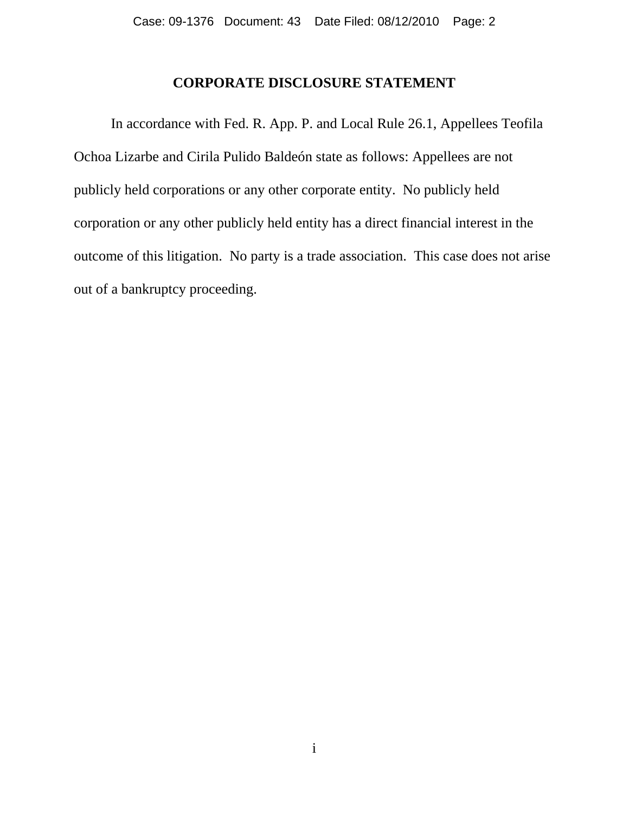## **CORPORATE DISCLOSURE STATEMENT**

In accordance with Fed. R. App. P. and Local Rule 26.1, Appellees Teofila Ochoa Lizarbe and Cirila Pulido Baldeón state as follows: Appellees are not publicly held corporations or any other corporate entity. No publicly held corporation or any other publicly held entity has a direct financial interest in the outcome of this litigation. No party is a trade association. This case does not arise out of a bankruptcy proceeding.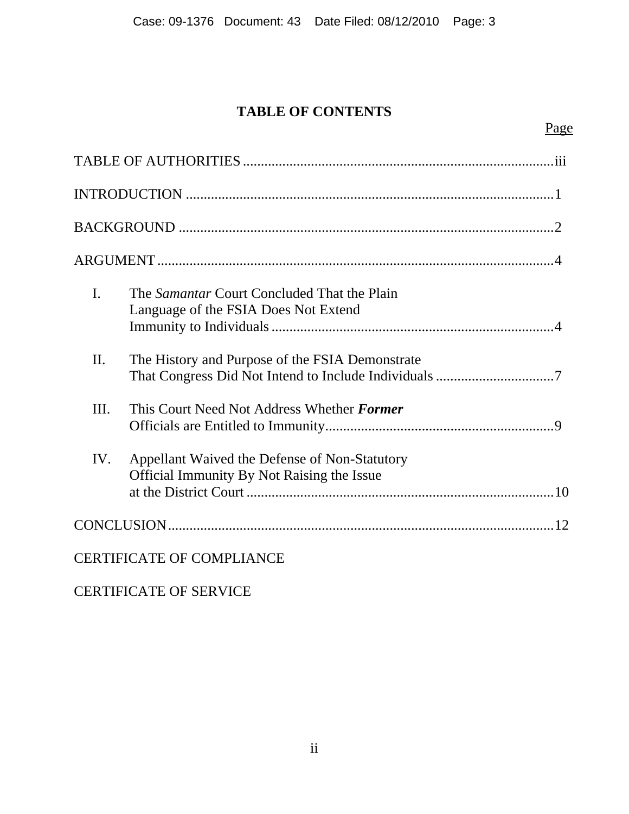# **TABLE OF CONTENTS**

# Page

| $\mathbf{I}$ .                   | The <i>Samantar</i> Court Concluded That the Plain<br>Language of the FSIA Does Not Extend         |  |  |
|----------------------------------|----------------------------------------------------------------------------------------------------|--|--|
| II.                              | The History and Purpose of the FSIA Demonstrate                                                    |  |  |
| III.                             | This Court Need Not Address Whether Former                                                         |  |  |
| IV.                              | Appellant Waived the Defense of Non-Statutory<br><b>Official Immunity By Not Raising the Issue</b> |  |  |
|                                  |                                                                                                    |  |  |
| <b>CERTIFICATE OF COMPLIANCE</b> |                                                                                                    |  |  |

# CERTIFICATE OF SERVICE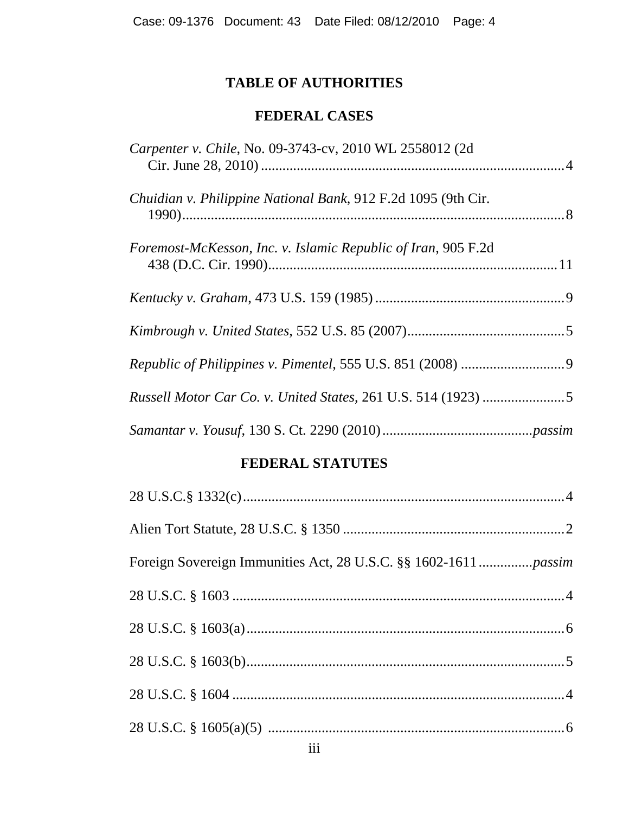# **TABLE OF AUTHORITIES**

# **FEDERAL CASES**

| Carpenter v. Chile, No. 09-3743-cv, 2010 WL 2558012 (2d)      |
|---------------------------------------------------------------|
| Chuidian v. Philippine National Bank, 912 F.2d 1095 (9th Cir. |
| Foremost-McKesson, Inc. v. Islamic Republic of Iran, 905 F.2d |
|                                                               |
|                                                               |
|                                                               |
|                                                               |
|                                                               |

# **FEDERAL STATUTES**

| $\overline{\mathbf{iii}}$ |  |
|---------------------------|--|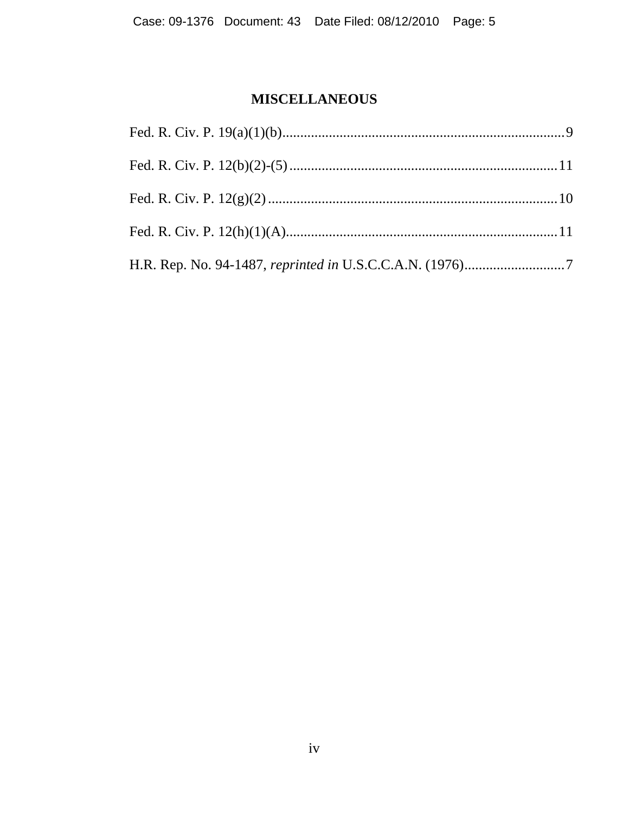# **MISCELLANEOUS**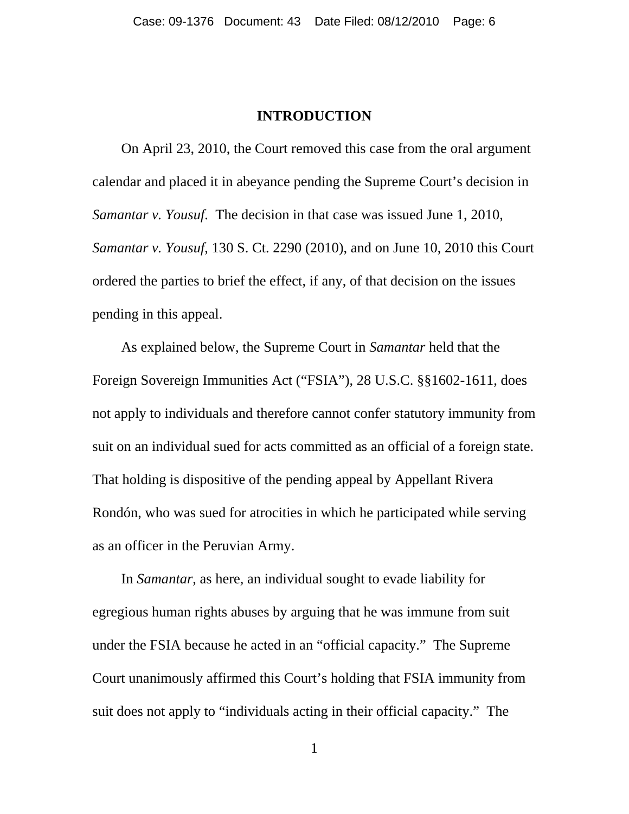#### **INTRODUCTION**

 On April 23, 2010, the Court removed this case from the oral argument calendar and placed it in abeyance pending the Supreme Court's decision in *Samantar v. Yousuf*. The decision in that case was issued June 1, 2010, *Samantar v. Yousuf*, 130 S. Ct. 2290 (2010), and on June 10, 2010 this Court ordered the parties to brief the effect, if any, of that decision on the issues pending in this appeal.

 As explained below, the Supreme Court in *Samantar* held that the Foreign Sovereign Immunities Act ("FSIA"), 28 U.S.C. §§1602-1611, does not apply to individuals and therefore cannot confer statutory immunity from suit on an individual sued for acts committed as an official of a foreign state. That holding is dispositive of the pending appeal by Appellant Rivera Rondón, who was sued for atrocities in which he participated while serving as an officer in the Peruvian Army.

 In *Samantar*, as here, an individual sought to evade liability for egregious human rights abuses by arguing that he was immune from suit under the FSIA because he acted in an "official capacity." The Supreme Court unanimously affirmed this Court's holding that FSIA immunity from suit does not apply to "individuals acting in their official capacity." The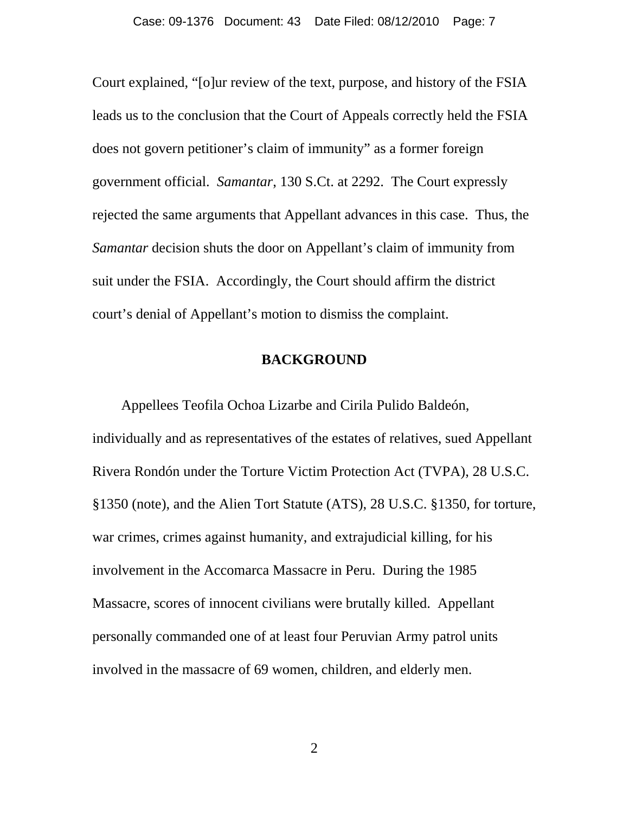Court explained, "[o]ur review of the text, purpose, and history of the FSIA leads us to the conclusion that the Court of Appeals correctly held the FSIA does not govern petitioner's claim of immunity" as a former foreign government official. *Samantar*, 130 S.Ct. at 2292. The Court expressly rejected the same arguments that Appellant advances in this case. Thus, the *Samantar* decision shuts the door on Appellant's claim of immunity from suit under the FSIA. Accordingly, the Court should affirm the district court's denial of Appellant's motion to dismiss the complaint.

#### **BACKGROUND**

 Appellees Teofila Ochoa Lizarbe and Cirila Pulido Baldeón, individually and as representatives of the estates of relatives, sued Appellant Rivera Rondón under the Torture Victim Protection Act (TVPA), 28 U.S.C. §1350 (note), and the Alien Tort Statute (ATS), 28 U.S.C. §1350, for torture, war crimes, crimes against humanity, and extrajudicial killing, for his involvement in the Accomarca Massacre in Peru. During the 1985 Massacre, scores of innocent civilians were brutally killed. Appellant personally commanded one of at least four Peruvian Army patrol units involved in the massacre of 69 women, children, and elderly men.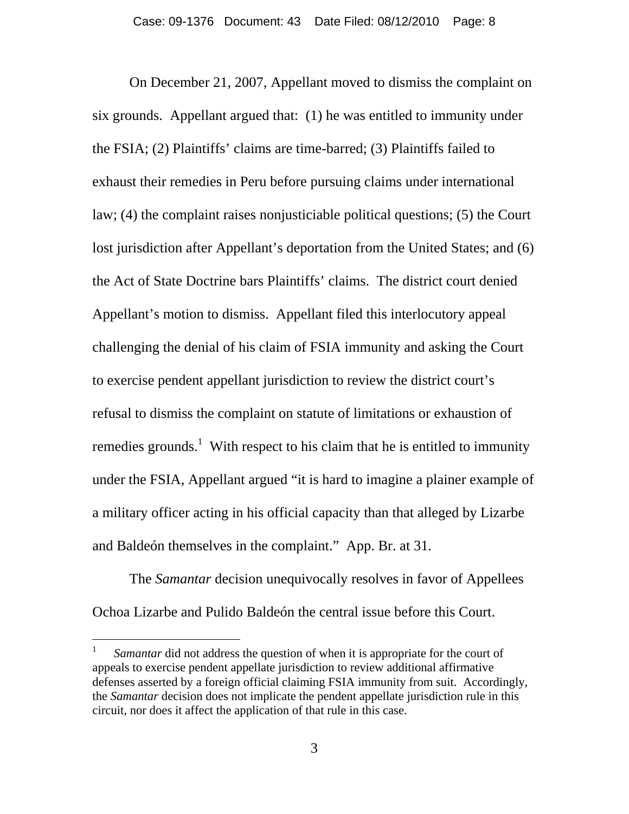On December 21, 2007, Appellant moved to dismiss the complaint on six grounds. Appellant argued that: (1) he was entitled to immunity under the FSIA; (2) Plaintiffs' claims are time-barred; (3) Plaintiffs failed to exhaust their remedies in Peru before pursuing claims under international law; (4) the complaint raises nonjusticiable political questions; (5) the Court lost jurisdiction after Appellant's deportation from the United States; and (6) the Act of State Doctrine bars Plaintiffs' claims. The district court denied Appellant's motion to dismiss. Appellant filed this interlocutory appeal challenging the denial of his claim of FSIA immunity and asking the Court to exercise pendent appellant jurisdiction to review the district court's refusal to dismiss the complaint on statute of limitations or exhaustion of remedies grounds.<sup>1</sup> With respect to his claim that he is entitled to immunity under the FSIA, Appellant argued "it is hard to imagine a plainer example of a military officer acting in his official capacity than that alleged by Lizarbe and Baldeón themselves in the complaint." App. Br. at 31.

The *Samantar* decision unequivocally resolves in favor of Appellees Ochoa Lizarbe and Pulido Baldeón the central issue before this Court.

 $\overline{a}$ 

*Samantar* did not address the question of when it is appropriate for the court of appeals to exercise pendent appellate jurisdiction to review additional affirmative defenses asserted by a foreign official claiming FSIA immunity from suit. Accordingly, the *Samantar* decision does not implicate the pendent appellate jurisdiction rule in this circuit, nor does it affect the application of that rule in this case.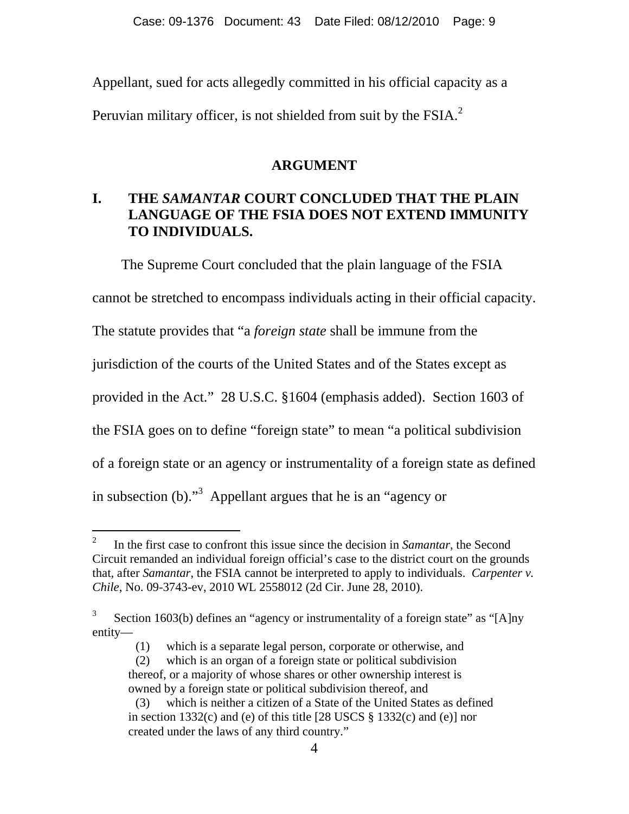Appellant, sued for acts allegedly committed in his official capacity as a Peruvian military officer, is not shielded from suit by the  $FSIA<sup>2</sup>$ 

### **ARGUMENT**

# **I. THE** *SAMANTAR* **COURT CONCLUDED THAT THE PLAIN LANGUAGE OF THE FSIA DOES NOT EXTEND IMMUNITY TO INDIVIDUALS.**

 The Supreme Court concluded that the plain language of the FSIA cannot be stretched to encompass individuals acting in their official capacity. The statute provides that "a *foreign state* shall be immune from the jurisdiction of the courts of the United States and of the States except as provided in the Act." 28 U.S.C. §1604 (emphasis added). Section 1603 of the FSIA goes on to define "foreign state" to mean "a political subdivision of a foreign state or an agency or instrumentality of a foreign state as defined in subsection (b). $\cdot$ <sup>3</sup> Appellant argues that he is an "agency or

-

<sup>2</sup> In the first case to confront this issue since the decision in *Samantar*, the Second Circuit remanded an individual foreign official's case to the district court on the grounds that, after *Samantar*, the FSIA cannot be interpreted to apply to individuals. *Carpenter v. Chile*, No. 09-3743-ev, 2010 WL 2558012 (2d Cir. June 28, 2010).

<sup>3</sup> Section 1603(b) defines an "agency or instrumentality of a foreign state" as "[A]ny entity—

<sup>(1)</sup> which is a separate legal person, corporate or otherwise, and

<sup>(2)</sup> which is an organ of a foreign state or political subdivision thereof, or a majority of whose shares or other ownership interest is owned by a foreign state or political subdivision thereof, and

<sup>(3)</sup> which is neither a citizen of a State of the United States as defined in section 1332(c) and (e) of this title [28 USCS § 1332(c) and (e)] nor created under the laws of any third country."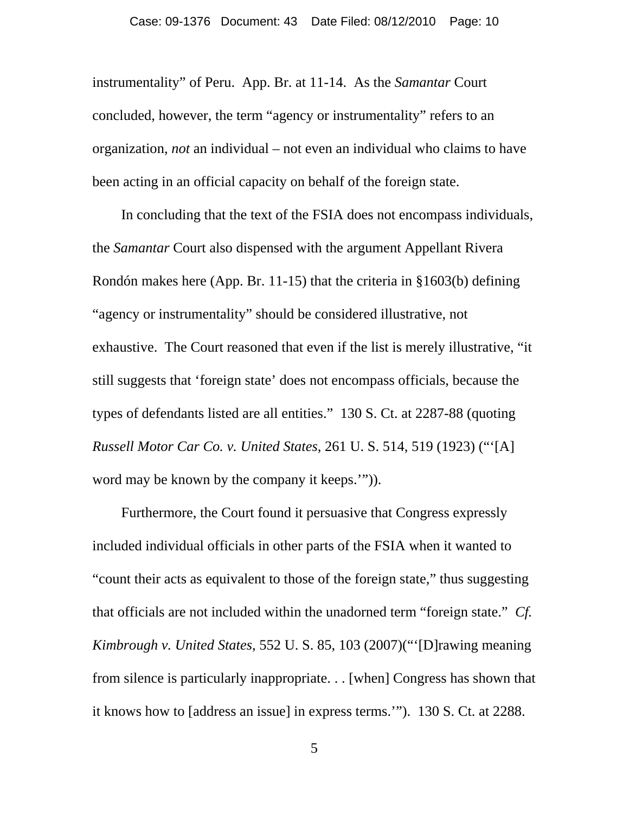instrumentality" of Peru. App. Br. at 11-14. As the *Samantar* Court concluded, however, the term "agency or instrumentality" refers to an organization, *not* an individual – not even an individual who claims to have been acting in an official capacity on behalf of the foreign state.

 In concluding that the text of the FSIA does not encompass individuals, the *Samantar* Court also dispensed with the argument Appellant Rivera Rondón makes here (App. Br. 11-15) that the criteria in §1603(b) defining "agency or instrumentality" should be considered illustrative, not exhaustive. The Court reasoned that even if the list is merely illustrative, "it still suggests that 'foreign state' does not encompass officials, because the types of defendants listed are all entities." 130 S. Ct. at 2287-88 (quoting *Russell Motor Car Co. v. United States*, 261 U. S. 514, 519 (1923) ("'[A] word may be known by the company it keeps.'")).

 Furthermore, the Court found it persuasive that Congress expressly included individual officials in other parts of the FSIA when it wanted to "count their acts as equivalent to those of the foreign state," thus suggesting that officials are not included within the unadorned term "foreign state." *Cf. Kimbrough v. United States*, 552 U. S. 85, 103 (2007)("'[D]rawing meaning from silence is particularly inappropriate. . . [when] Congress has shown that it knows how to [address an issue] in express terms.'"). 130 S. Ct. at 2288.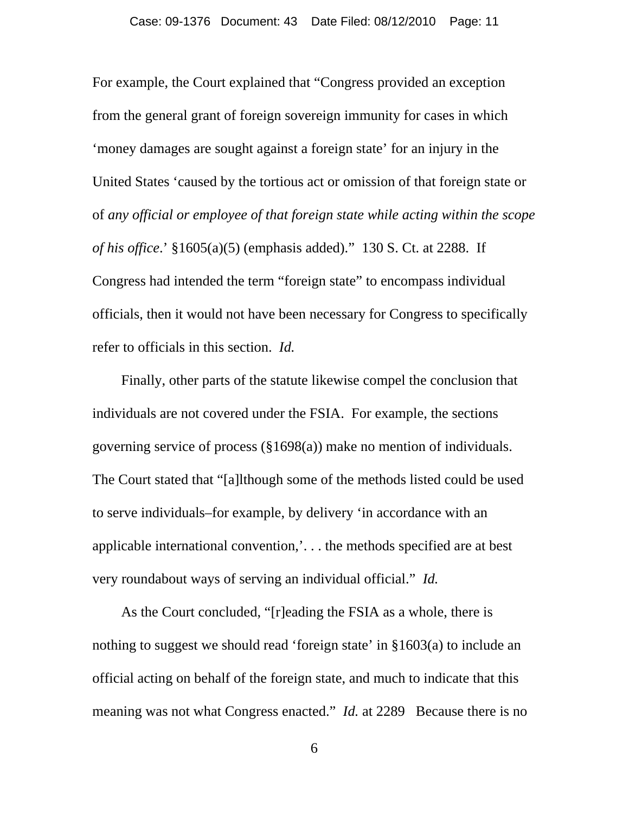For example, the Court explained that "Congress provided an exception from the general grant of foreign sovereign immunity for cases in which 'money damages are sought against a foreign state' for an injury in the United States 'caused by the tortious act or omission of that foreign state or of *any official or employee of that foreign state while acting within the scope of his office*.' §1605(a)(5) (emphasis added)." 130 S. Ct. at 2288. If Congress had intended the term "foreign state" to encompass individual officials, then it would not have been necessary for Congress to specifically refer to officials in this section. *Id.*

 Finally, other parts of the statute likewise compel the conclusion that individuals are not covered under the FSIA. For example, the sections governing service of process (§1698(a)) make no mention of individuals. The Court stated that "[a]lthough some of the methods listed could be used to serve individuals–for example, by delivery 'in accordance with an applicable international convention,'. . . the methods specified are at best very roundabout ways of serving an individual official." *Id.* 

As the Court concluded, "[r]eading the FSIA as a whole, there is nothing to suggest we should read 'foreign state' in §1603(a) to include an official acting on behalf of the foreign state, and much to indicate that this meaning was not what Congress enacted." *Id.* at 2289 Because there is no

6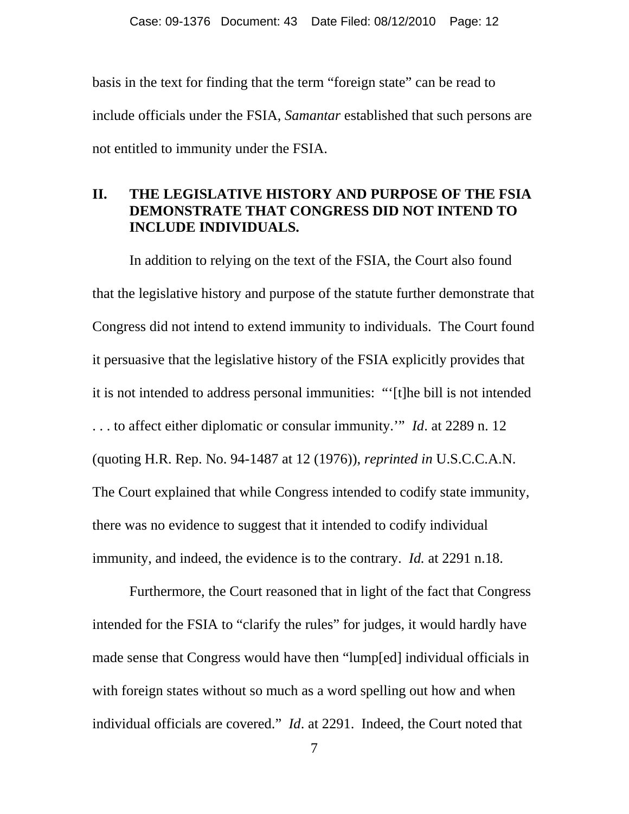basis in the text for finding that the term "foreign state" can be read to include officials under the FSIA, *Samantar* established that such persons are not entitled to immunity under the FSIA.

## **II. THE LEGISLATIVE HISTORY AND PURPOSE OF THE FSIA DEMONSTRATE THAT CONGRESS DID NOT INTEND TO INCLUDE INDIVIDUALS.**

In addition to relying on the text of the FSIA, the Court also found that the legislative history and purpose of the statute further demonstrate that Congress did not intend to extend immunity to individuals. The Court found it persuasive that the legislative history of the FSIA explicitly provides that it is not intended to address personal immunities: "'[t]he bill is not intended . . . to affect either diplomatic or consular immunity.'" *Id*. at 2289 n. 12 (quoting H.R. Rep. No. 94-1487 at 12 (1976)), *reprinted in* U.S.C.C.A.N. The Court explained that while Congress intended to codify state immunity, there was no evidence to suggest that it intended to codify individual immunity, and indeed, the evidence is to the contrary. *Id.* at 2291 n.18.

Furthermore, the Court reasoned that in light of the fact that Congress intended for the FSIA to "clarify the rules" for judges, it would hardly have made sense that Congress would have then "lump[ed] individual officials in with foreign states without so much as a word spelling out how and when individual officials are covered." *Id*. at 2291. Indeed, the Court noted that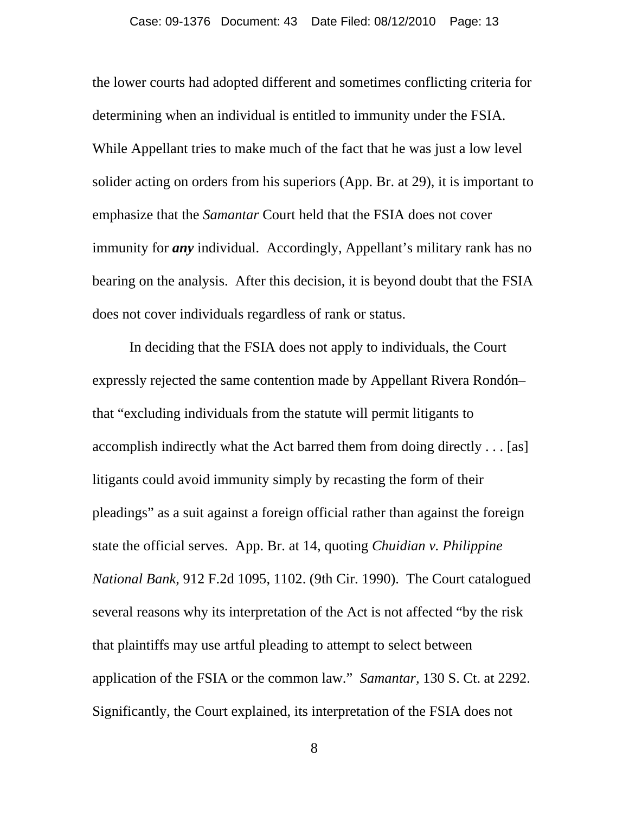the lower courts had adopted different and sometimes conflicting criteria for determining when an individual is entitled to immunity under the FSIA. While Appellant tries to make much of the fact that he was just a low level solider acting on orders from his superiors (App. Br. at 29), it is important to emphasize that the *Samantar* Court held that the FSIA does not cover immunity for *any* individual. Accordingly, Appellant's military rank has no bearing on the analysis. After this decision, it is beyond doubt that the FSIA does not cover individuals regardless of rank or status.

In deciding that the FSIA does not apply to individuals, the Court expressly rejected the same contention made by Appellant Rivera Rondón– that "excluding individuals from the statute will permit litigants to accomplish indirectly what the Act barred them from doing directly . . . [as] litigants could avoid immunity simply by recasting the form of their pleadings" as a suit against a foreign official rather than against the foreign state the official serves. App. Br. at 14, quoting *Chuidian v. Philippine National Bank*, 912 F.2d 1095, 1102. (9th Cir. 1990). The Court catalogued several reasons why its interpretation of the Act is not affected "by the risk that plaintiffs may use artful pleading to attempt to select between application of the FSIA or the common law." *Samantar,* 130 S. Ct. at 2292. Significantly, the Court explained, its interpretation of the FSIA does not

8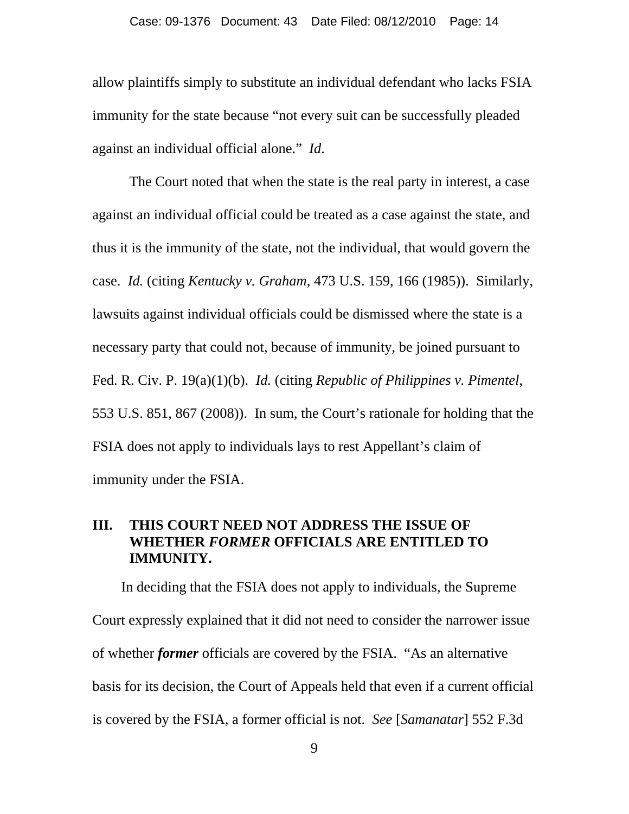allow plaintiffs simply to substitute an individual defendant who lacks FSIA immunity for the state because "not every suit can be successfully pleaded against an individual official alone." *Id*.

The Court noted that when the state is the real party in interest, a case against an individual official could be treated as a case against the state, and thus it is the immunity of the state, not the individual, that would govern the case. *Id.* (citing *Kentucky v. Graham*, 473 U.S. 159, 166 (1985)). Similarly, lawsuits against individual officials could be dismissed where the state is a necessary party that could not, because of immunity, be joined pursuant to Fed. R. Civ. P. 19(a)(1)(b). *Id.* (citing *Republic of Philippines v. Pimentel*, 553 U.S. 851, 867 (2008)). In sum, the Court's rationale for holding that the FSIA does not apply to individuals lays to rest Appellant's claim of immunity under the FSIA.

## **III. THIS COURT NEED NOT ADDRESS THE ISSUE OF WHETHER** *FORMER* **OFFICIALS ARE ENTITLED TO IMMUNITY.**

 In deciding that the FSIA does not apply to individuals, the Supreme Court expressly explained that it did not need to consider the narrower issue of whether *former* officials are covered by the FSIA. "As an alternative basis for its decision, the Court of Appeals held that even if a current official is covered by the FSIA, a former official is not. *See* [*Samanatar*] 552 F.3d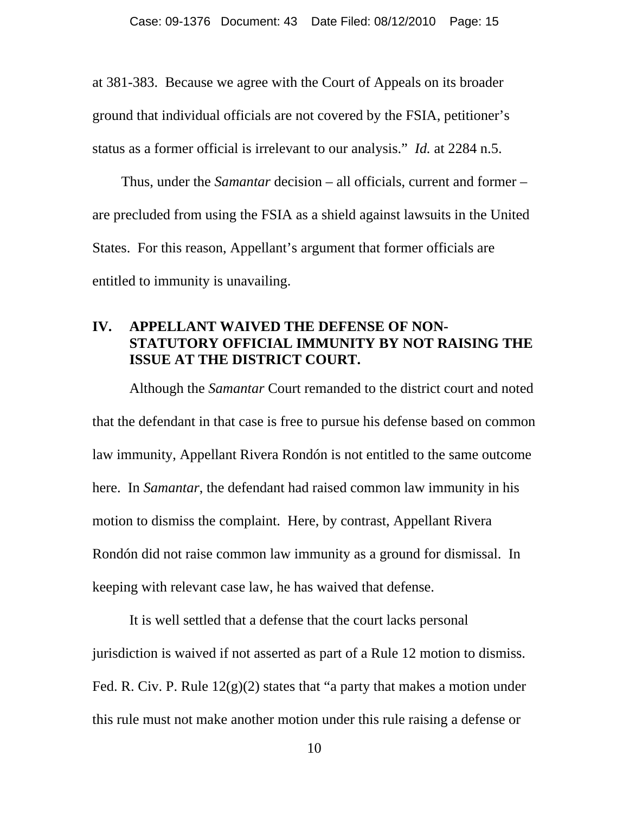at 381-383. Because we agree with the Court of Appeals on its broader ground that individual officials are not covered by the FSIA, petitioner's status as a former official is irrelevant to our analysis." *Id.* at 2284 n.5.

 Thus, under the *Samantar* decision – all officials, current and former – are precluded from using the FSIA as a shield against lawsuits in the United States. For this reason, Appellant's argument that former officials are entitled to immunity is unavailing.

## **IV. APPELLANT WAIVED THE DEFENSE OF NON-STATUTORY OFFICIAL IMMUNITY BY NOT RAISING THE ISSUE AT THE DISTRICT COURT.**

Although the *Samantar* Court remanded to the district court and noted that the defendant in that case is free to pursue his defense based on common law immunity, Appellant Rivera Rondón is not entitled to the same outcome here. In *Samantar*, the defendant had raised common law immunity in his motion to dismiss the complaint. Here, by contrast, Appellant Rivera Rondón did not raise common law immunity as a ground for dismissal. In keeping with relevant case law, he has waived that defense.

It is well settled that a defense that the court lacks personal jurisdiction is waived if not asserted as part of a Rule 12 motion to dismiss. Fed. R. Civ. P. Rule  $12(g)(2)$  states that "a party that makes a motion under this rule must not make another motion under this rule raising a defense or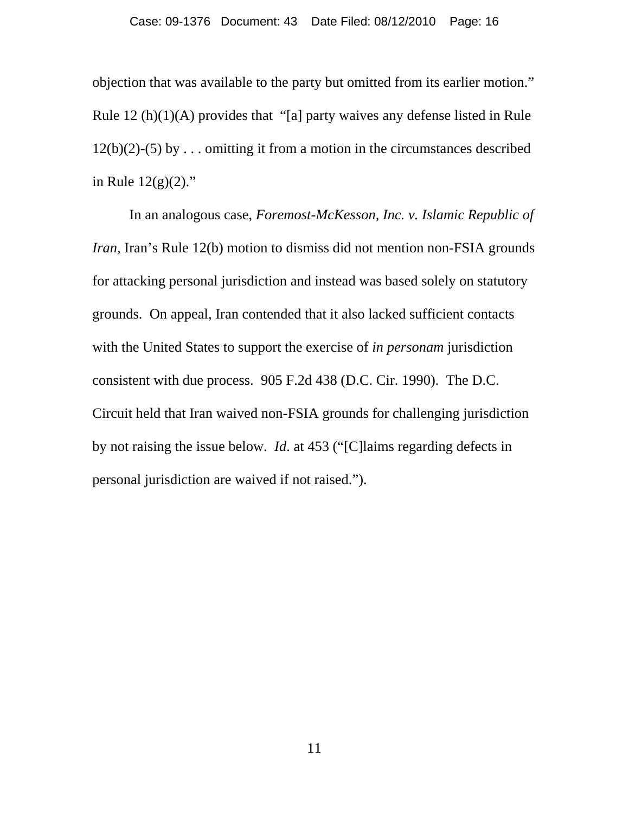objection that was available to the party but omitted from its earlier motion." Rule 12 (h)(1)(A) provides that "[a] party waives any defense listed in Rule  $12(b)(2)-(5)$  by ... omitting it from a motion in the circumstances described in Rule  $12(g)(2)$ ."

In an analogous case, *Foremost-McKesson, Inc. v. Islamic Republic of Iran*, Iran's Rule 12(b) motion to dismiss did not mention non-FSIA grounds for attacking personal jurisdiction and instead was based solely on statutory grounds. On appeal, Iran contended that it also lacked sufficient contacts with the United States to support the exercise of *in personam* jurisdiction consistent with due process. 905 F.2d 438 (D.C. Cir. 1990). The D.C. Circuit held that Iran waived non-FSIA grounds for challenging jurisdiction by not raising the issue below. *Id*. at 453 ("[C]laims regarding defects in personal jurisdiction are waived if not raised.").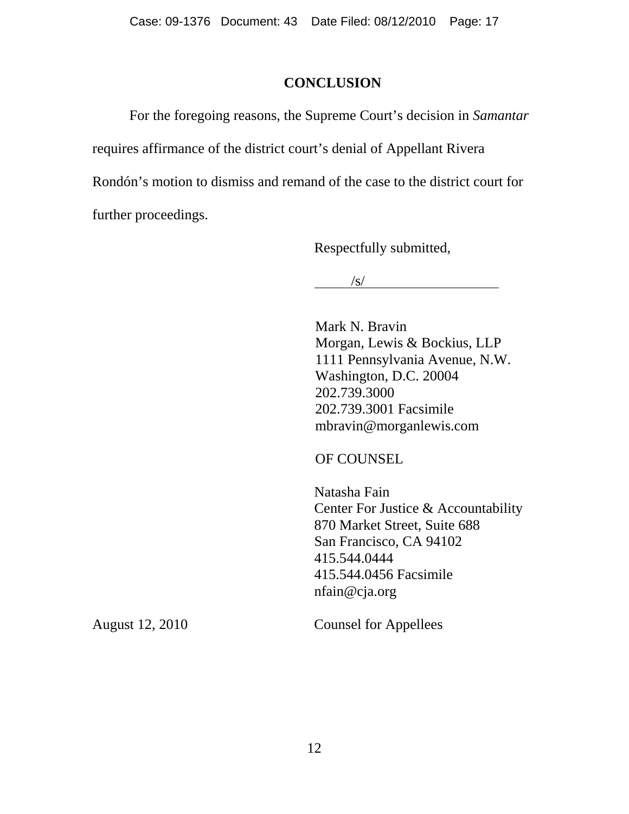### **CONCLUSION**

For the foregoing reasons, the Supreme Court's decision in *Samantar* requires affirmance of the district court's denial of Appellant Rivera Rondón's motion to dismiss and remand of the case to the district court for further proceedings.

Respectfully submitted,

 $\sqrt{s/2}$ 

Mark N. Bravin Morgan, Lewis & Bockius, LLP 1111 Pennsylvania Avenue, N.W. Washington, D.C. 20004 202.739.3000 202.739.3001 Facsimile mbravin@morganlewis.com

OF COUNSEL

 Natasha Fain Center For Justice & Accountability 870 Market Street, Suite 688 San Francisco, CA 94102 415.544.0444 415.544.0456 Facsimile nfain@cja.org

August 12, 2010 Counsel for Appellees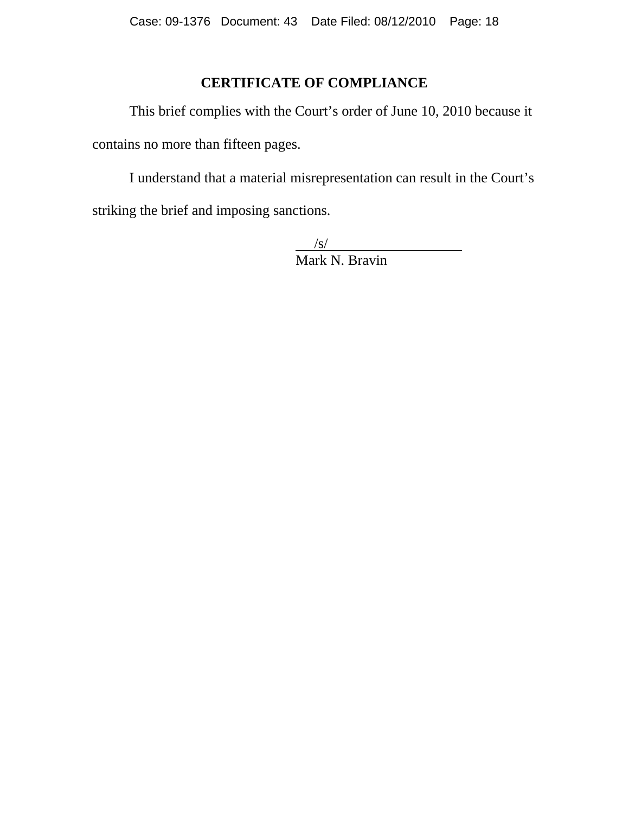# **CERTIFICATE OF COMPLIANCE**

This brief complies with the Court's order of June 10, 2010 because it contains no more than fifteen pages.

I understand that a material misrepresentation can result in the Court's striking the brief and imposing sanctions.

> $/$ s/ Mark N. Bravin